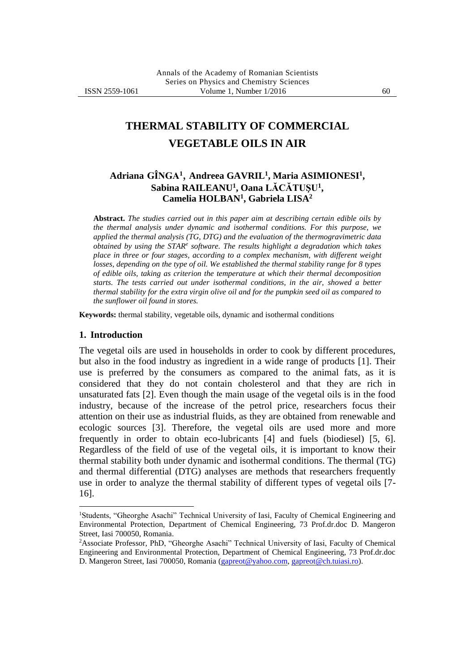# **THERMAL STABILITY OF COMMERCIAL VEGETABLE OILS IN AIR**

## **Adriana GÎNGA<sup>1</sup>** , **Andreea GAVRIL<sup>1</sup> , Maria ASIMIONESI<sup>1</sup> , Sabina RAILEANU<sup>1</sup> , Oana LĂCĂTUŞU<sup>1</sup> , Camelia HOLBAN<sup>1</sup> , Gabriela LISA<sup>2</sup>**

**Abstract.** *The studies carried out in this paper aim at describing certain edible oils by the thermal analysis under dynamic and isothermal conditions. For this purpose, we applied the thermal analysis (TG, DTG) and the evaluation of the thermogravimetric data obtained by using the STAR<sup>e</sup> software. The results highlight a degradation which takes place in three or four stages, according to a complex mechanism, with different weight losses, depending on the type of oil. We established the thermal stability range for 8 types of edible oils, taking as criterion the temperature at which their thermal decomposition starts. The tests carried out under isothermal conditions, in the air, showed a better thermal stability for the extra virgin olive oil and for the pumpkin seed oil as compared to the sunflower oil found in stores.*

**Keywords:** thermal stability, vegetable oils, dynamic and isothermal conditions

#### **1. Introduction**

1

The vegetal oils are used in households in order to cook by different procedures, but also in the food industry as ingredient in a wide range of products [1]. Their use is preferred by the consumers as compared to the animal fats, as it is considered that they do not contain cholesterol and that they are rich in unsaturated fats [2]. Even though the main usage of the vegetal oils is in the food industry, because of the increase of the petrol price, researchers focus their attention on their use as industrial fluids, as they are obtained from renewable and ecologic sources [3]. Therefore, the vegetal oils are used more and more frequently in order to obtain eco-lubricants [4] and fuels (biodiesel) [5, 6]. Regardless of the field of use of the vegetal oils, it is important to know their thermal stability both under dynamic and isothermal conditions. The thermal (TG) and thermal differential (DTG) analyses are methods that researchers frequently use in order to analyze the thermal stability of different types of vegetal oils [7- 16].

<sup>1</sup>Students, "Gheorghe Asachi" Technical University of Iasi, Faculty of Chemical Engineering and Environmental Protection, Department of Chemical Engineering, 73 Prof.dr.doc D. Mangeron Street, Iasi 700050, Romania.

<sup>2</sup>Associate Professor, PhD, "Gheorghe Asachi" Technical University of Iasi, Faculty of Chemical Engineering and Environmental Protection, Department of Chemical Engineering, 73 Prof.dr.doc D. Mangeron Street, Iasi 700050, Romania [\(gapreot@yahoo.com,](mailto:gapreot@yahoo.com) [gapreot@ch.tuiasi.ro\)](mailto:gapreot@ch.tuiasi.ro).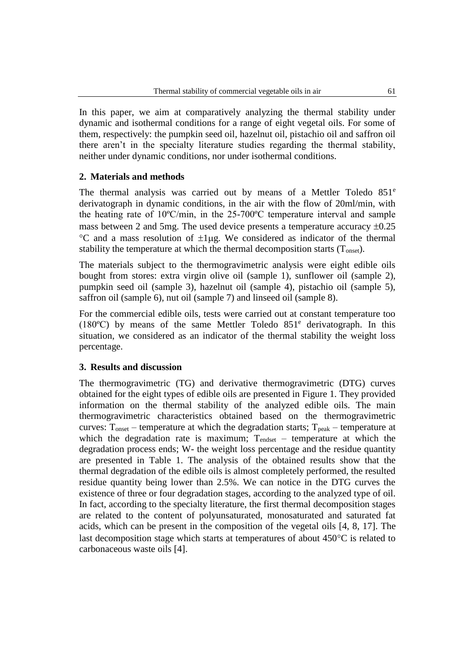In this paper, we aim at comparatively analyzing the thermal stability under dynamic and isothermal conditions for a range of eight vegetal oils. For some of them, respectively: the pumpkin seed oil, hazelnut oil, pistachio oil and saffron oil there aren't in the specialty literature studies regarding the thermal stability, neither under dynamic conditions, nor under isothermal conditions.

### **2. Materials and methods**

The thermal analysis was carried out by means of a Mettler Toledo 851<sup>e</sup> derivatograph in dynamic conditions, in the air with the flow of 20ml/min, with the heating rate of 10ºC/min, in the 25-700ºC temperature interval and sample mass between 2 and 5mg. The used device presents a temperature accuracy  $\pm 0.25$  $\degree$ C and a mass resolution of  $\pm 1\mu$ g. We considered as indicator of the thermal stability the temperature at which the thermal decomposition starts  $(T_{onset})$ .

The materials subject to the thermogravimetric analysis were eight edible oils bought from stores: extra virgin olive oil (sample 1), sunflower oil (sample 2), pumpkin seed oil (sample 3), hazelnut oil (sample 4), pistachio oil (sample 5), saffron oil (sample 6), nut oil (sample 7) and linseed oil (sample 8).

For the commercial edible oils, tests were carried out at constant temperature too (180ºC) by means of the same Mettler Toledo 851<sup>e</sup> derivatograph. In this situation, we considered as an indicator of the thermal stability the weight loss percentage.

### **3. Results and discussion**

The thermogravimetric (TG) and derivative thermogravimetric (DTG) curves obtained for the eight types of edible oils are presented in Figure 1. They provided information on the thermal stability of the analyzed edible oils. The main thermogravimetric characteristics obtained based on the thermogravimetric curves:  $T_{onset}$  – temperature at which the degradation starts;  $T_{peak}$  – temperature at which the degradation rate is maximum;  $T_{endest}$  – temperature at which the degradation process ends; W- the weight loss percentage and the residue quantity are presented in Table 1. The analysis of the obtained results show that the thermal degradation of the edible oils is almost completely performed, the resulted residue quantity being lower than 2.5%. We can notice in the DTG curves the existence of three or four degradation stages, according to the analyzed type of oil. In fact, according to the specialty literature, the first thermal decomposition stages are related to the content of polyunsaturated, monosaturated and saturated fat acids, which can be present in the composition of the vegetal oils [4, 8, 17]. The last decomposition stage which starts at temperatures of about  $450^{\circ}$ C is related to carbonaceous waste oils [4].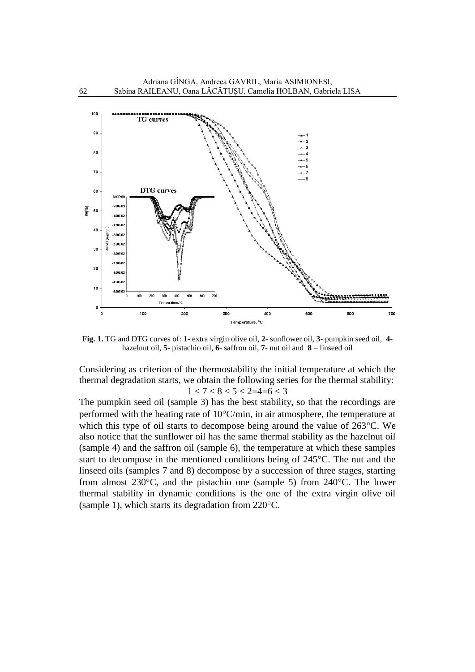

**Fig. 1.** TG and DTG curves of: **1**- extra virgin olive oil, **2**- sunflower oil, **3**- pumpkin seed oil, **4** hazelnut oil, **5**- pistachio oil, **6**- saffron oil, **7**- nut oil and **8** – linseed oil

Considering as criterion of the thermostability the initial temperature at which the thermal degradation starts, we obtain the following series for the thermal stability:  $1 < 7 < 8 < 5 < 2 = 4 = 6 < 3$ 

The pumpkin seed oil (sample 3) has the best stability, so that the recordings are performed with the heating rate of  $10^{\circ}$ C/min, in air atmosphere, the temperature at which this type of oil starts to decompose being around the value of  $263^{\circ}$ C. We also notice that the sunflower oil has the same thermal stability as the hazelnut oil (sample 4) and the saffron oil (sample 6), the temperature at which these samples start to decompose in the mentioned conditions being of  $245^{\circ}$ C. The nut and the linseed oils (samples 7 and 8) decompose by a succession of three stages, starting from almost  $230^{\circ}$ C, and the pistachio one (sample 5) from  $240^{\circ}$ C. The lower thermal stability in dynamic conditions is the one of the extra virgin olive oil (sample 1), which starts its degradation from  $220^{\circ}$ C.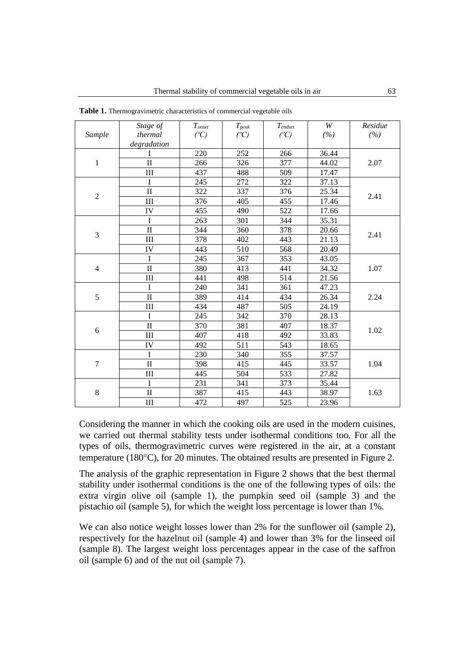|                | Stage of            | $T_{onset}$     | $T_{peak}$      | $T_{endset}$    | $\ensuremath{W}$ | Residue |
|----------------|---------------------|-----------------|-----------------|-----------------|------------------|---------|
| Sample         | thermal             | $({}^{\circ}C)$ | $({}^{\circ}C)$ | $({}^{\circ}C)$ | (%)              | (%)     |
|                | degradation         |                 |                 |                 |                  |         |
| $\mathbf{1}$   | I                   | 220             | 252             | 266             | 36.44            | 2.07    |
|                | $\mathbf{I}$        | 266             | 326             | 377             | 44.02            |         |
|                | III                 | 437             | 488             | 509             | 17.47            |         |
| $\overline{2}$ | I                   | 245             | 272             | 322             | 37.13            | 2.41    |
|                | $\rm II$            | 322             | 337             | 376             | 25.34            |         |
|                | III                 | 376             | 405             | 455             | 17.46            |         |
|                | IV                  | 455             | 490             | 522             | 17.66            |         |
| 3              | I                   | 263             | 301             | 344             | 35.31            | 2.41    |
|                | $\overline{\rm II}$ | 344             | 360             | 378             | 20.66            |         |
|                | III                 | 378             | 402             | 443             | 21.13            |         |
|                | IV                  | 443             | 510             | 568             | 20.49            |         |
| $\overline{4}$ | I                   | 245             | 367             | 353             | 43.05            | 1.07    |
|                | $\overline{\rm II}$ | 380             | 413             | 441             | 34.32            |         |
|                | III                 | 441             | 498             | 514             | 21.56            |         |
| 5              | I                   | 240             | 341             | 361             | 47.23            | 2.24    |
|                | $\mathbf{I}$        | 389             | 414             | 434             | 26.34            |         |
|                | III                 | 434             | 487             | 505             | 24.19            |         |
| 6              | I                   | 245             | 342             | 370             | 28.13            | 1.02    |
|                | $\overline{\rm II}$ | 370             | 381             | 407             | 18.37            |         |
|                | III                 | 407             | 418             | 492             | 33.83            |         |
|                | IV                  | 492             | 511             | 543             | 18.65            |         |
| $\overline{7}$ | I                   | 230             | 340             | 355             | 37.57            | 1.04    |
|                | $\overline{\rm II}$ | 398             | 415             | 445             | 33.57            |         |
|                | $\mathop{\rm III}$  | 445             | 504             | 533             | 27.82            |         |
| 8              | I                   | 231             | 341             | 373             | 35.44            | 1.63    |
|                | $\mathbf{I}$        | 387             | 415             | 443             | 38.97            |         |
|                | III                 | 472             | 497             | 525             | 23.96            |         |

**Table 1.** Thermogravimetric characteristics of commercial vegetable oils

Considering the manner in which the cooking oils are used in the modern cuisines, we carried out thermal stability tests under isothermal conditions too. For all the types of oils, thermogravimetric curves were registered in the air, at a constant temperature (180 $^{\circ}$ C), for 20 minutes. The obtained results are presented in Figure 2.

The analysis of the graphic representation in Figure 2 shows that the best thermal stability under isothermal conditions is the one of the following types of oils: the extra virgin olive oil (sample 1), the pumpkin seed oil (sample 3) and the pistachio oil (sample 5), for which the weight loss percentage is lower than 1%.

We can also notice weight losses lower than 2% for the sunflower oil (sample 2), respectively for the hazelnut oil (sample 4) and lower than 3% for the linseed oil (sample 8). The largest weight loss percentages appear in the case of the saffron oil (sample 6) and of the nut oil (sample 7).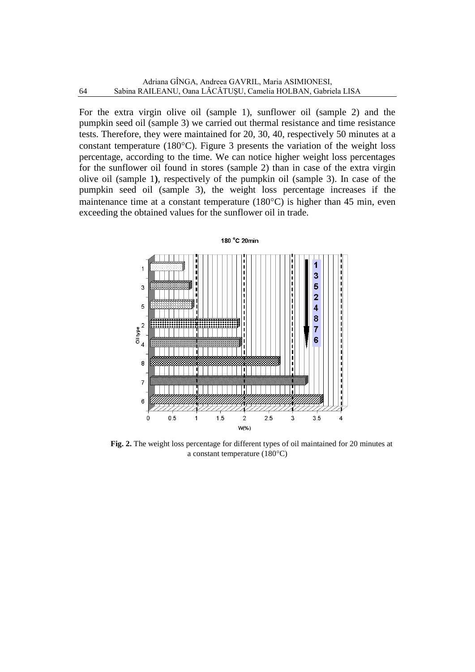For the extra virgin olive oil (sample 1), sunflower oil (sample 2) and the pumpkin seed oil (sample 3) we carried out thermal resistance and time resistance tests. Therefore, they were maintained for 20, 30, 40, respectively 50 minutes at a constant temperature (180 $^{\circ}$ C). Figure 3 presents the variation of the weight loss percentage, according to the time. We can notice higher weight loss percentages for the sunflower oil found in stores (sample 2) than in case of the extra virgin olive oil (sample 1**)**, respectively of the pumpkin oil (sample 3). In case of the pumpkin seed oil (sample 3), the weight loss percentage increases if the maintenance time at a constant temperature  $(180^{\circ}C)$  is higher than 45 min, even exceeding the obtained values for the sunflower oil in trade.



**Fig. 2.** The weight loss percentage for different types of oil maintained for 20 minutes at a constant temperature  $(180^{\circ}C)$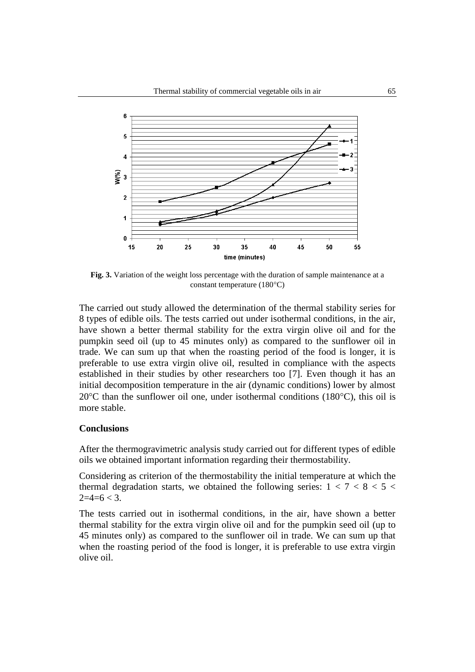

**Fig. 3.** Variation of the weight loss percentage with the duration of sample maintenance at a constant temperature  $(180^{\circ}C)$ 

The carried out study allowed the determination of the thermal stability series for 8 types of edible oils. The tests carried out under isothermal conditions, in the air, have shown a better thermal stability for the extra virgin olive oil and for the pumpkin seed oil (up to 45 minutes only) as compared to the sunflower oil in trade. We can sum up that when the roasting period of the food is longer, it is preferable to use extra virgin olive oil, resulted in compliance with the aspects established in their studies by other researchers too [7]. Even though it has an initial decomposition temperature in the air (dynamic conditions) lower by almost  $20^{\circ}$ C than the sunflower oil one, under isothermal conditions (180 $^{\circ}$ C), this oil is more stable.

#### **Conclusions**

After the thermogravimetric analysis study carried out for different types of edible oils we obtained important information regarding their thermostability.

Considering as criterion of the thermostability the initial temperature at which the thermal degradation starts, we obtained the following series:  $1 < 7 < 8 < 5 <$  $2=4=6 < 3$ .

The tests carried out in isothermal conditions, in the air, have shown a better thermal stability for the extra virgin olive oil and for the pumpkin seed oil (up to 45 minutes only) as compared to the sunflower oil in trade. We can sum up that when the roasting period of the food is longer, it is preferable to use extra virgin olive oil.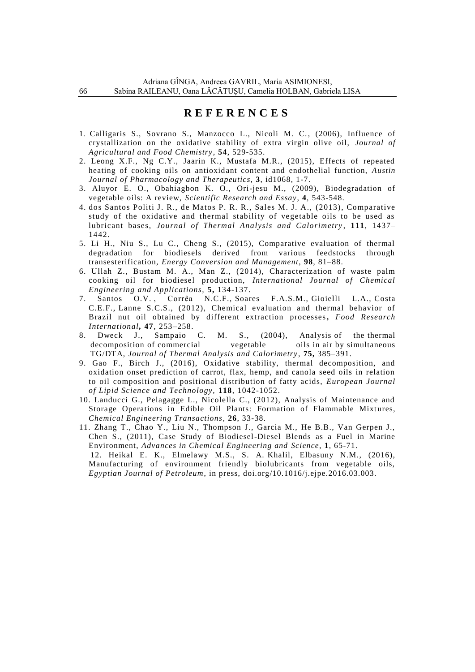## **R E F E R E N C E S**

- 1. Calligaris S., Sovrano S., Manzocco L., Nicoli M. C. , (2006), Influence of crystallization on the oxidative stability of extra virgin olive oil, *[Journal of](https://www.google.ro/url?sa=t&rct=j&q=&esrc=s&source=web&cd=1&cad=rja&uact=8&ved=0ahUKEwiSkpn7tPDPAhUBORQKHaHCCDsQFgglMAA&url=http%3A%2F%2Fpubs.acs.org%2Fjournal%2Fjafcau&usg=AFQjCNH5PAfTp8G3y2WT0pD14ztU8PQzEg&bvm=bv.136593572,d.bGg)  [Agricultural and Food Chemistry](https://www.google.ro/url?sa=t&rct=j&q=&esrc=s&source=web&cd=1&cad=rja&uact=8&ved=0ahUKEwiSkpn7tPDPAhUBORQKHaHCCDsQFgglMAA&url=http%3A%2F%2Fpubs.acs.org%2Fjournal%2Fjafcau&usg=AFQjCNH5PAfTp8G3y2WT0pD14ztU8PQzEg&bvm=bv.136593572,d.bGg)* , **54**, 529-535.
- 2. Leong X.F., Ng C.Y., Jaarin K., Mustafa M.R., (2015), Effects of repeated heating of cooking oils on antioxidant content and endothelial function, *Austin Journal of Pharmacology and Therapeutics,* **3**, id1068, 1-7.
- 3. Aluyor E. O., Obahiagbon K. O., Ori-jesu M., (2009), Biodegradation of vegetable oils: A review, *Scientific Research and Essay*, **4**, 543-548.
- 4. dos Santos Politi J. R., de Matos P. R. R., Sales M. J. A., (2013), Comparative study of the oxidative and thermal stability of vegetable oils to be used as lubricant bases, *[Journal of Thermal Analysis and Calorimetry](http://link.springer.com/journal/10973)* , **111**, 1437– 1442.
- 5. Li H., Niu S., Lu C., Cheng S., (2015), Comparative evaluation of thermal degradation for biodiesels derived from various feedstocks through transesterification, *Energy Conversion and Management,* **98**, 81–88.
- 6. Ullah Z., Bustam M. A., Man Z., (2014), Characterization of waste palm cooking oil for biodiesel production, *International Journal of Chemical Engineering and Applications,* **5,** 134-137.
- 7. Santos [O.V.](http://www.sciencedirect.com/science/article/pii/S0963996911004170) , Corrêa [N.C.F.,](http://www.sciencedirect.com/science/article/pii/S0963996911004170) Soares [F.A.S.M.,](http://www.sciencedirect.com/science/article/pii/S0963996911004170) [Gioielli](http://www.sciencedirect.com/science/article/pii/S0963996911004170) L.A., Costa [C.E.F.,](http://www.sciencedirect.com/science/article/pii/S0963996911004170) Lanne [S.C.S.,](http://www.sciencedirect.com/science/article/pii/S0963996911004170) (2012), Chemical evaluation and thermal behavior of Brazil nut oil obtained by different extraction processes**,** *[Food Research](http://www.sciencedirect.com/science/journal/09639969)  [International](http://www.sciencedirect.com/science/journal/09639969),* **[47](http://www.sciencedirect.com/science/journal/09639969/47/2)**, 253–258.
- 8. Dweck J., Sampaio C. M. S., (2004), Analysis of the thermal decomposition of commercial vegetable oils in air by simultaneous TG/DTA, *Journal of Thermal Analysis and Calorimetry* , **75,** 385–391.
- 9. Gao F., Birch J., (2016), Oxidative stability, thermal decomposition, and oxidation onset prediction of carrot, flax, hemp, and canola seed oils in relation to oil composition and positional distribution of fatty acids, *European Journal of Lipid Science and Technology,* **118**, 1042-1052.
- 10. Landucci G., Pelagagge L., Nicolella C., (2012), Analysis of Maintenance and Storage Operations in Edible Oil Plants: Formation of Flammable Mixtures, *Chemical Engineering Transactions*, **26**, 33-38.
- 11. Zhang T., Chao Y., Liu N., Thompson J., Garcia M., He B.B., Van Gerpen J., Chen S., (2011), Case Study of Biodiesel-Diesel Blends as a Fuel in Marine Environment, *Advances in Chemical Engineering and Science*, **1**, 65-71. 12. [Heikal](http://www.sciencedirect.com/science/article/pii/S1110062115301057) E. K., Elmelawy M.S., S. A. Khalil, Elbasuny N.M., (2016), Manufacturing of environment friendly biolubricants from vegetable oils, *[Egyptian Journal of Petroleum](http://www.sciencedirect.com/science/journal/11100621)*, in press, doi.org/10.1016/j.ejpe.2016.03.003.